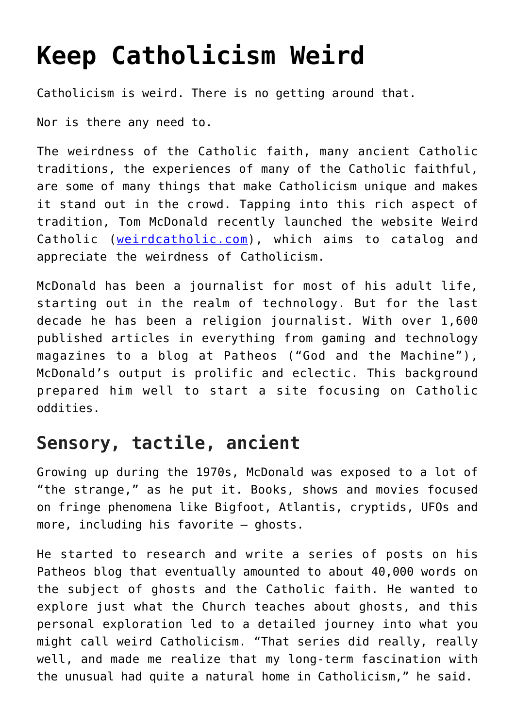# **[Keep Catholicism Weird](https://www.osvnews.com/2018/09/05/keep-catholicism-weird/)**

Catholicism is weird. There is no getting around that.

Nor is there any need to.

The weirdness of the Catholic faith, many ancient Catholic traditions, the experiences of many of the Catholic faithful, are some of many things that make Catholicism unique and makes it stand out in the crowd. Tapping into this rich aspect of tradition, Tom McDonald recently launched the website Weird Catholic ([weirdcatholic.com\)](http://weirdcatholic.com/), which aims to catalog and appreciate the weirdness of Catholicism.

McDonald has been a journalist for most of his adult life, starting out in the realm of technology. But for the last decade he has been a religion journalist. With over 1,600 published articles in everything from gaming and technology magazines to a blog at Patheos ("God and the Machine"), McDonald's output is prolific and eclectic. This background prepared him well to start a site focusing on Catholic oddities.

### **Sensory, tactile, ancient**

Growing up during the 1970s, McDonald was exposed to a lot of "the strange," as he put it. Books, shows and movies focused on fringe phenomena like Bigfoot, Atlantis, cryptids, UFOs and more, including his favorite — ghosts.

He started to research and write a series of posts on his Patheos blog that eventually amounted to about 40,000 words on the subject of ghosts and the Catholic faith. He wanted to explore just what the Church teaches about ghosts, and this personal exploration led to a detailed journey into what you might call weird Catholicism. "That series did really, really well, and made me realize that my long-term fascination with the unusual had quite a natural home in Catholicism," he said.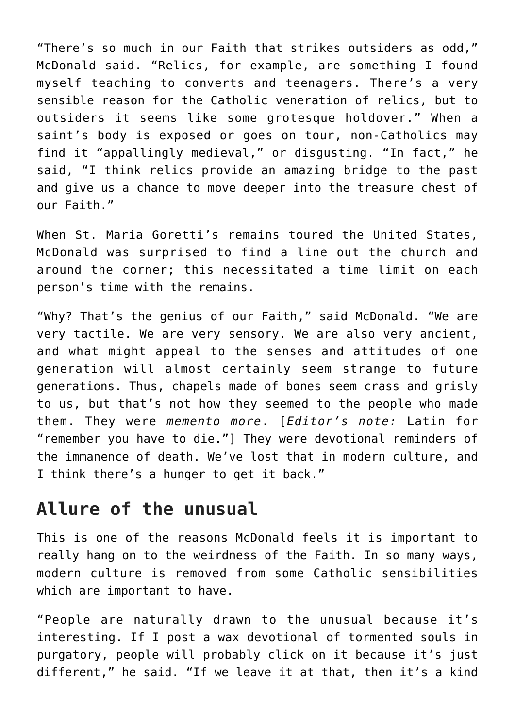"There's so much in our Faith that strikes outsiders as odd," McDonald said. "Relics, for example, are something I found myself teaching to converts and teenagers. There's a very sensible reason for the Catholic veneration of relics, but to outsiders it seems like some grotesque holdover." When a saint's body is exposed or goes on tour, non-Catholics may find it "appallingly medieval," or disgusting. "In fact," he said, "I think relics provide an amazing bridge to the past and give us a chance to move deeper into the treasure chest of our Faith."

When St. Maria Goretti's remains toured the United States, McDonald was surprised to find a line out the church and around the corner; this necessitated a time limit on each person's time with the remains.

"Why? That's the genius of our Faith," said McDonald. "We are very tactile. We are very sensory. We are also very ancient, and what might appeal to the senses and attitudes of one generation will almost certainly seem strange to future generations. Thus, chapels made of bones seem crass and grisly to us, but that's not how they seemed to the people who made them. They were *memento more*. [*Editor's note:* Latin for "remember you have to die."] They were devotional reminders of the immanence of death. We've lost that in modern culture, and I think there's a hunger to get it back."

#### **Allure of the unusual**

This is one of the reasons McDonald feels it is important to really hang on to the weirdness of the Faith. In so many ways, modern culture is removed from some Catholic sensibilities which are important to have.

"People are naturally drawn to the unusual because it's interesting. If I post a wax devotional of tormented souls in purgatory, people will probably click on it because it's just different," he said. "If we leave it at that, then it's a kind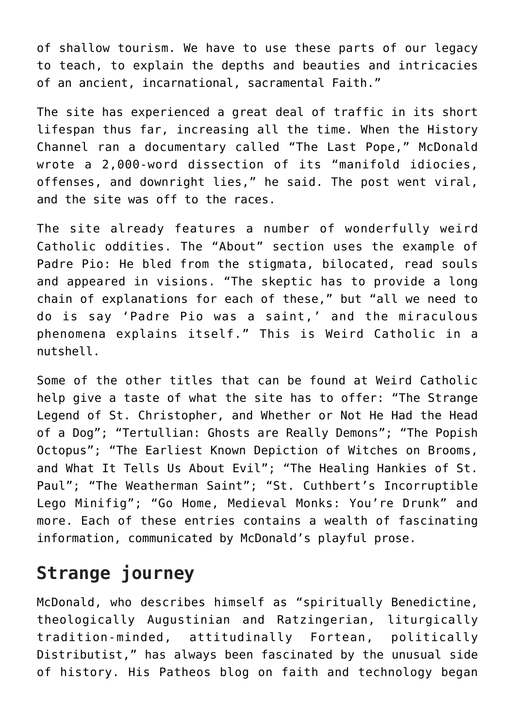of shallow tourism. We have to use these parts of our legacy to teach, to explain the depths and beauties and intricacies of an ancient, incarnational, sacramental Faith."

The site has experienced a great deal of traffic in its short lifespan thus far, increasing all the time. When the History Channel ran a documentary called "The Last Pope," McDonald wrote a 2,000-word dissection of its "manifold idiocies, offenses, and downright lies," he said. The post went viral, and the site was off to the races.

The site already features a number of wonderfully weird Catholic oddities. The "About" section uses the example of Padre Pio: He bled from the stigmata, bilocated, read souls and appeared in visions. "The skeptic has to provide a long chain of explanations for each of these," but "all we need to do is say 'Padre Pio was a saint,' and the miraculous phenomena explains itself." This is Weird Catholic in a nutshell.

Some of the other titles that can be found at Weird Catholic help give a taste of what the site has to offer: "The Strange Legend of St. Christopher, and Whether or Not He Had the Head of a Dog"; "Tertullian: Ghosts are Really Demons"; "The Popish Octopus"; "The Earliest Known Depiction of Witches on Brooms, and What It Tells Us About Evil"; "The Healing Hankies of St. Paul"; "The Weatherman Saint"; "St. Cuthbert's Incorruptible Lego Minifig"; "Go Home, Medieval Monks: You're Drunk" and more. Each of these entries contains a wealth of fascinating information, communicated by McDonald's playful prose.

## **Strange journey**

McDonald, who describes himself as "spiritually Benedictine, theologically Augustinian and Ratzingerian, liturgically tradition-minded, attitudinally Fortean, politically Distributist," has always been fascinated by the unusual side of history. His Patheos blog on faith and technology began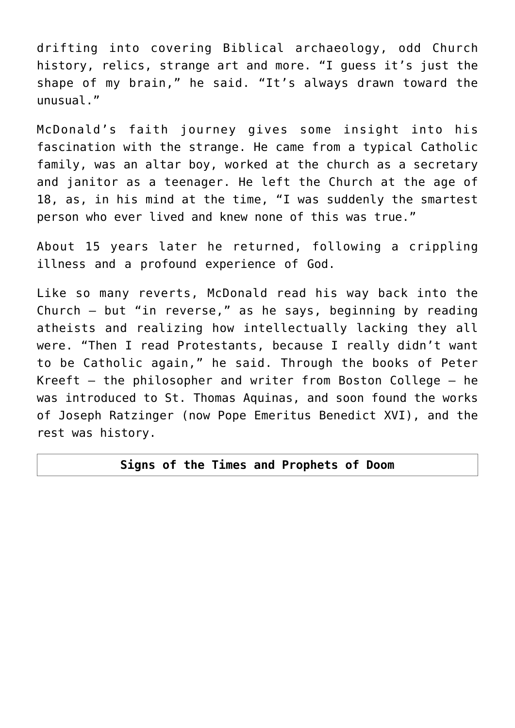drifting into covering Biblical archaeology, odd Church history, relics, strange art and more. "I guess it's just the shape of my brain," he said. "It's always drawn toward the unusual."

McDonald's faith journey gives some insight into his fascination with the strange. He came from a typical Catholic family, was an altar boy, worked at the church as a secretary and janitor as a teenager. He left the Church at the age of 18, as, in his mind at the time, "I was suddenly the smartest person who ever lived and knew none of this was true."

About 15 years later he returned, following a crippling illness and a profound experience of God.

Like so many reverts, McDonald read his way back into the Church — but "in reverse," as he says, beginning by reading atheists and realizing how intellectually lacking they all were. "Then I read Protestants, because I really didn't want to be Catholic again," he said. Through the books of Peter Kreeft — the philosopher and writer from Boston College — he was introduced to St. Thomas Aquinas, and soon found the works of Joseph Ratzinger (now Pope Emeritus Benedict XVI), and the rest was history.

#### **Signs of the Times and Prophets of Doom**